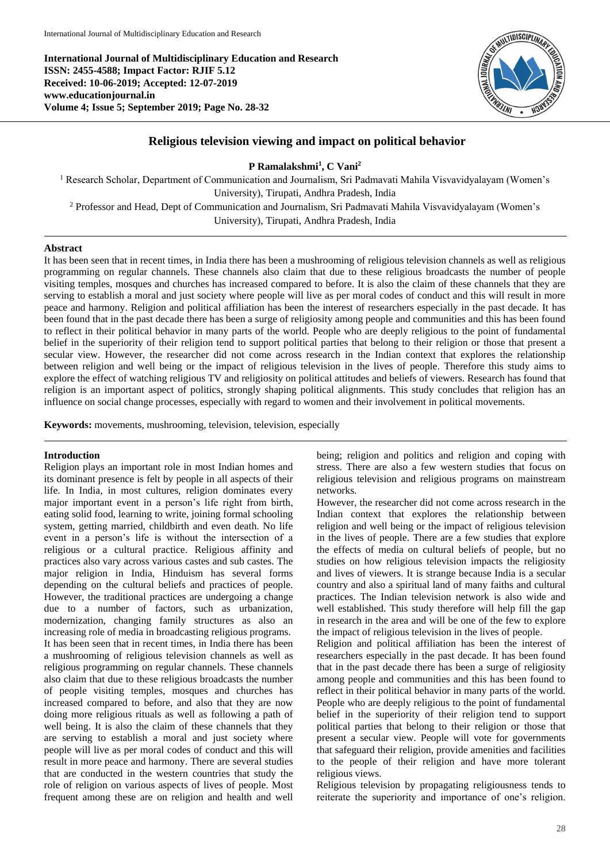**International Journal of Multidisciplinary Education and Research ISSN: 2455-4588; Impact Factor: RJIF 5.12 Received: 10-06-2019; Accepted: 12-07-2019 www.educationjournal.in Volume 4; Issue 5; September 2019; Page No. 28-32**



# **Religious television viewing and impact on political behavior**

**P Ramalakshmi<sup>1</sup> , C Vani<sup>2</sup>**

<sup>1</sup> Research Scholar, Department of Communication and Journalism, Sri Padmavati Mahila Visvavidyalayam (Women's University), Tirupati, Andhra Pradesh, India <sup>2</sup> Professor and Head, Dept of Communication and Journalism, Sri Padmavati Mahila Visvavidyalayam (Women's

University), Tirupati, Andhra Pradesh, India

#### **Abstract**

It has been seen that in recent times, in India there has been a mushrooming of religious television channels as well as religious programming on regular channels. These channels also claim that due to these religious broadcasts the number of people visiting temples, mosques and churches has increased compared to before. It is also the claim of these channels that they are serving to establish a moral and just society where people will live as per moral codes of conduct and this will result in more peace and harmony. Religion and political affiliation has been the interest of researchers especially in the past decade. It has been found that in the past decade there has been a surge of religiosity among people and communities and this has been found to reflect in their political behavior in many parts of the world. People who are deeply religious to the point of fundamental belief in the superiority of their religion tend to support political parties that belong to their religion or those that present a secular view. However, the researcher did not come across research in the Indian context that explores the relationship between religion and well being or the impact of religious television in the lives of people. Therefore this study aims to explore the effect of watching religious TV and religiosity on political attitudes and beliefs of viewers. Research has found that religion is an important aspect of politics, strongly shaping political alignments. This study concludes that religion has an influence on social change processes, especially with regard to women and their involvement in political movements.

**Keywords:** movements, mushrooming, television, television, especially

### **Introduction**

Religion plays an important role in most Indian homes and its dominant presence is felt by people in all aspects of their life. In India, in most cultures, religion dominates every major important event in a person's life right from birth, eating solid food, learning to write, joining formal schooling system, getting married, childbirth and even death. No life event in a person's life is without the intersection of a religious or a cultural practice. Religious affinity and practices also vary across various castes and sub castes. The major religion in India, Hinduism has several forms depending on the cultural beliefs and practices of people. However, the traditional practices are undergoing a change due to a number of factors, such as urbanization, modernization, changing family structures as also an increasing role of media in broadcasting religious programs. It has been seen that in recent times, in India there has been a mushrooming of religious television channels as well as religious programming on regular channels. These channels also claim that due to these religious broadcasts the number of people visiting temples, mosques and churches has increased compared to before, and also that they are now doing more religious rituals as well as following a path of well being. It is also the claim of these channels that they are serving to establish a moral and just society where people will live as per moral codes of conduct and this will result in more peace and harmony. There are several studies that are conducted in the western countries that study the role of religion on various aspects of lives of people. Most frequent among these are on religion and health and well being; religion and politics and religion and coping with stress. There are also a few western studies that focus on religious television and religious programs on mainstream networks.

However, the researcher did not come across research in the Indian context that explores the relationship between religion and well being or the impact of religious television in the lives of people. There are a few studies that explore the effects of media on cultural beliefs of people, but no studies on how religious television impacts the religiosity and lives of viewers. It is strange because India is a secular country and also a spiritual land of many faiths and cultural practices. The Indian television network is also wide and well established. This study therefore will help fill the gap in research in the area and will be one of the few to explore the impact of religious television in the lives of people.

Religion and political affiliation has been the interest of researchers especially in the past decade. It has been found that in the past decade there has been a surge of religiosity among people and communities and this has been found to reflect in their political behavior in many parts of the world. People who are deeply religious to the point of fundamental belief in the superiority of their religion tend to support political parties that belong to their religion or those that present a secular view. People will vote for governments that safeguard their religion, provide amenities and facilities to the people of their religion and have more tolerant religious views.

Religious television by propagating religiousness tends to reiterate the superiority and importance of one's religion.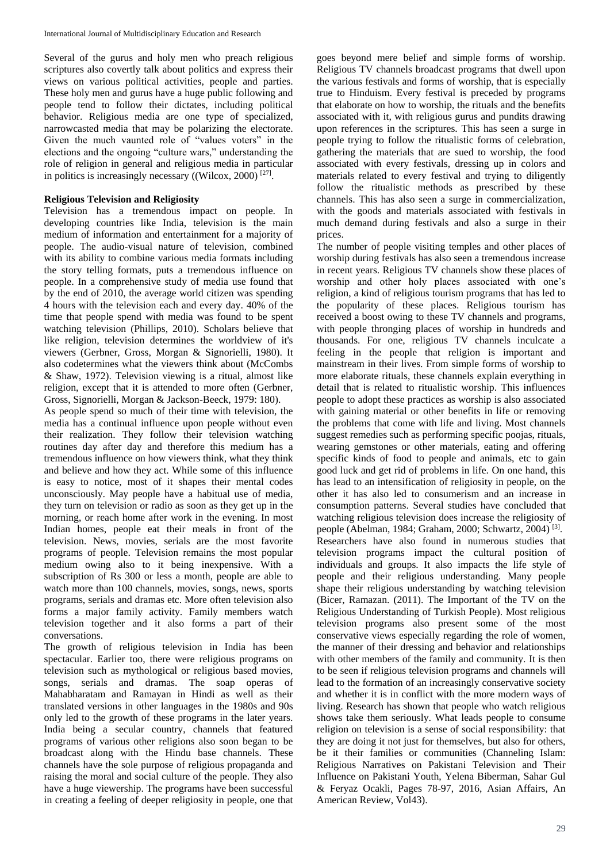Several of the gurus and holy men who preach religious scriptures also covertly talk about politics and express their views on various political activities, people and parties. These holy men and gurus have a huge public following and people tend to follow their dictates, including political behavior. Religious media are one type of specialized, narrowcasted media that may be polarizing the electorate. Given the much vaunted role of "values voters" in the elections and the ongoing "culture wars," understanding the role of religion in general and religious media in particular in politics is increasingly necessary ((Wilcox, 2000)<sup>[27]</sup>.

### **Religious Television and Religiosity**

Television has a tremendous impact on people. In developing countries like India, television is the main medium of information and entertainment for a majority of people. The audio-visual nature of television, combined with its ability to combine various media formats including the story telling formats, puts a tremendous influence on people. In a comprehensive study of media use found that by the end of 2010, the average world citizen was spending 4 hours with the television each and every day. 40% of the time that people spend with media was found to be spent watching television (Phillips, 2010). Scholars believe that like religion, television determines the worldview of it's viewers (Gerbner, Gross, Morgan & Signorielli, 1980). It also codetermines what the viewers think about (McCombs & Shaw, 1972). Television viewing is a ritual, almost like religion, except that it is attended to more often (Gerbner, Gross, Signorielli, Morgan & Jackson-Beeck, 1979: 180).

As people spend so much of their time with television, the media has a continual influence upon people without even their realization. They follow their television watching routines day after day and therefore this medium has a tremendous influence on how viewers think, what they think and believe and how they act. While some of this influence is easy to notice, most of it shapes their mental codes unconsciously. May people have a habitual use of media, they turn on television or radio as soon as they get up in the morning, or reach home after work in the evening. In most Indian homes, people eat their meals in front of the television. News, movies, serials are the most favorite programs of people. Television remains the most popular medium owing also to it being inexpensive. With a subscription of Rs 300 or less a month, people are able to watch more than 100 channels, movies, songs, news, sports programs, serials and dramas etc. More often television also forms a major family activity. Family members watch television together and it also forms a part of their conversations.

The growth of religious television in India has been spectacular. Earlier too, there were religious programs on television such as mythological or religious based movies, songs, serials and dramas. The soap operas of Mahabharatam and Ramayan in Hindi as well as their translated versions in other languages in the 1980s and 90s only led to the growth of these programs in the later years. India being a secular country, channels that featured programs of various other religions also soon began to be broadcast along with the Hindu base channels. These channels have the sole purpose of religious propaganda and raising the moral and social culture of the people. They also have a huge viewership. The programs have been successful in creating a feeling of deeper religiosity in people, one that

goes beyond mere belief and simple forms of worship. Religious TV channels broadcast programs that dwell upon the various festivals and forms of worship, that is especially true to Hinduism. Every festival is preceded by programs that elaborate on how to worship, the rituals and the benefits associated with it, with religious gurus and pundits drawing upon references in the scriptures. This has seen a surge in people trying to follow the ritualistic forms of celebration, gathering the materials that are sued to worship, the food associated with every festivals, dressing up in colors and materials related to every festival and trying to diligently follow the ritualistic methods as prescribed by these channels. This has also seen a surge in commercialization, with the goods and materials associated with festivals in much demand during festivals and also a surge in their prices.

The number of people visiting temples and other places of worship during festivals has also seen a tremendous increase in recent years. Religious TV channels show these places of worship and other holy places associated with one's religion, a kind of religious tourism programs that has led to the popularity of these places. Religious tourism has received a boost owing to these TV channels and programs, with people thronging places of worship in hundreds and thousands. For one, religious TV channels inculcate a feeling in the people that religion is important and mainstream in their lives. From simple forms of worship to more elaborate rituals, these channels explain everything in detail that is related to ritualistic worship. This influences people to adopt these practices as worship is also associated with gaining material or other benefits in life or removing the problems that come with life and living. Most channels suggest remedies such as performing specific poojas, rituals, wearing gemstones or other materials, eating and offering specific kinds of food to people and animals, etc to gain good luck and get rid of problems in life. On one hand, this has lead to an intensification of religiosity in people, on the other it has also led to consumerism and an increase in consumption patterns. Several studies have concluded that watching religious television does increase the religiosity of people (Abelman, 1984; Graham, 2000; Schwartz, 2004)<sup>[3]</sup>. Researchers have also found in numerous studies that television programs impact the cultural position of individuals and groups. It also impacts the life style of people and their religious understanding. Many people shape their religious understanding by watching television (Bicer, Ramazan. (2011). The Important of the TV on the Religious Understanding of Turkish People). Most religious television programs also present some of the most conservative views especially regarding the role of women, the manner of their dressing and behavior and relationships with other members of the family and community. It is then to be seen if religious television programs and channels will lead to the formation of an increasingly conservative society and whether it is in conflict with the more modern ways of living. Research has shown that people who watch religious shows take them seriously. What leads people to consume religion on television is a sense of social responsibility: that they are doing it not just for themselves, but also for others, be it their families or communities (Channeling Islam: Religious Narratives on Pakistani Television and Their Influence on Pakistani Youth, Yelena Biberman, Sahar Gul & Feryaz Ocakli, Pages 78-97, 2016, Asian Affairs, An American Review, Vol43).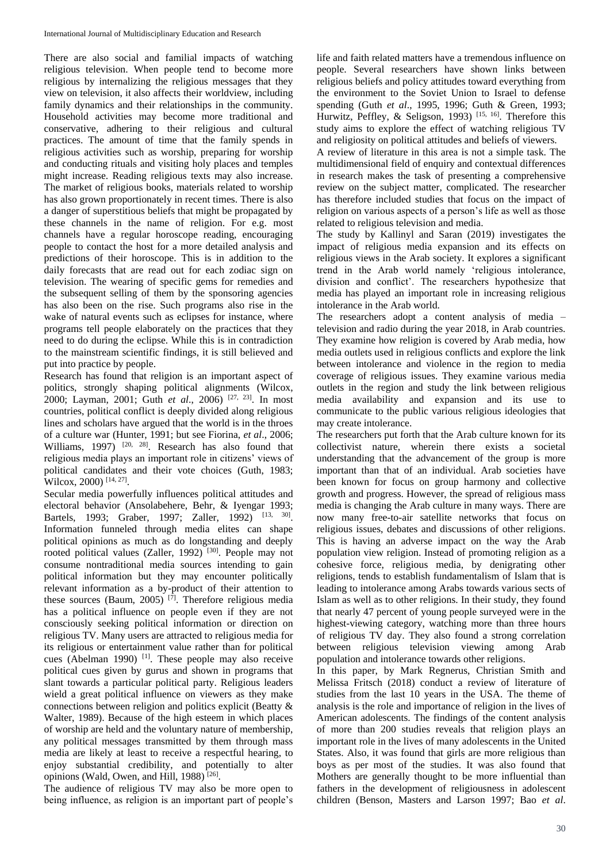There are also social and familial impacts of watching religious television. When people tend to become more religious by internalizing the religious messages that they view on television, it also affects their worldview, including family dynamics and their relationships in the community. Household activities may become more traditional and conservative, adhering to their religious and cultural practices. The amount of time that the family spends in religious activities such as worship, preparing for worship and conducting rituals and visiting holy places and temples might increase. Reading religious texts may also increase. The market of religious books, materials related to worship has also grown proportionately in recent times. There is also a danger of superstitious beliefs that might be propagated by these channels in the name of religion. For e.g. most channels have a regular horoscope reading, encouraging people to contact the host for a more detailed analysis and predictions of their horoscope. This is in addition to the daily forecasts that are read out for each zodiac sign on television. The wearing of specific gems for remedies and the subsequent selling of them by the sponsoring agencies has also been on the rise. Such programs also rise in the wake of natural events such as eclipses for instance, where programs tell people elaborately on the practices that they need to do during the eclipse. While this is in contradiction to the mainstream scientific findings, it is still believed and put into practice by people.

Research has found that religion is an important aspect of politics, strongly shaping political alignments (Wilcox, 2000; Layman, 2001; Guth *et al.*, 2006)<sup>[27, 23]</sup>. In most countries, political conflict is deeply divided along religious lines and scholars have argued that the world is in the throes of a culture war (Hunter, 1991; but see Fiorina, *et al*., 2006; Williams, 1997) <sup>[20, 28]</sup>. Research has also found that religious media plays an important role in citizens' views of political candidates and their vote choices (Guth, 1983; Wilcox, 2000)<sup>[14, 27]</sup>.

Secular media powerfully influences political attitudes and electoral behavior (Ansolabehere, Behr, & Iyengar 1993; Bartels, 1993; Graber, 1997; Zaller, 1992) <sup>[13, 30]</sup>. Information funneled through media elites can shape political opinions as much as do longstanding and deeply rooted political values (Zaller, 1992)<sup>[30]</sup>. People may not consume nontraditional media sources intending to gain political information but they may encounter politically relevant information as a by-product of their attention to these sources (Baum, 2005)<sup>[7]</sup>. Therefore religious media has a political influence on people even if they are not consciously seeking political information or direction on religious TV. Many users are attracted to religious media for its religious or entertainment value rather than for political cues (Abelman 1990)  $[1]$ . These people may also receive political cues given by gurus and shown in programs that slant towards a particular political party. Religious leaders wield a great political influence on viewers as they make connections between religion and politics explicit (Beatty & Walter, 1989). Because of the high esteem in which places of worship are held and the voluntary nature of membership, any political messages transmitted by them through mass media are likely at least to receive a respectful hearing, to enjoy substantial credibility, and potentially to alter opinions (Wald, Owen, and Hill, 1988)<sup>[26]</sup>.

The audience of religious TV may also be more open to being influence, as religion is an important part of people's

life and faith related matters have a tremendous influence on people. Several researchers have shown links between religious beliefs and policy attitudes toward everything from the environment to the Soviet Union to Israel to defense spending (Guth *et al*., 1995, 1996; Guth & Green, 1993; Hurwitz, Peffley, & Seligson, 1993)<sup>[15, 16]</sup>. Therefore this study aims to explore the effect of watching religious TV and religiosity on political attitudes and beliefs of viewers.

A review of literature in this area is not a simple task. The multidimensional field of enquiry and contextual differences in research makes the task of presenting a comprehensive review on the subject matter, complicated. The researcher has therefore included studies that focus on the impact of religion on various aspects of a person's life as well as those related to religious television and media.

The study by Kallinyl and Saran (2019) investigates the impact of religious media expansion and its effects on religious views in the Arab society. It explores a significant trend in the Arab world namely 'religious intolerance, division and conflict'. The researchers hypothesize that media has played an important role in increasing religious intolerance in the Arab world.

The researchers adopt a content analysis of media – television and radio during the year 2018, in Arab countries. They examine how religion is covered by Arab media, how media outlets used in religious conflicts and explore the link between intolerance and violence in the region to media coverage of religious issues. They examine various media outlets in the region and study the link between religious media availability and expansion and its use to communicate to the public various religious ideologies that may create intolerance.

The researchers put forth that the Arab culture known for its collectivist nature, wherein there exists a societal understanding that the advancement of the group is more important than that of an individual. Arab societies have been known for focus on group harmony and collective growth and progress. However, the spread of religious mass media is changing the Arab culture in many ways. There are now many free-to-air satellite networks that focus on religious issues, debates and discussions of other religions. This is having an adverse impact on the way the Arab population view religion. Instead of promoting religion as a cohesive force, religious media, by denigrating other religions, tends to establish fundamentalism of Islam that is leading to intolerance among Arabs towards various sects of Islam as well as to other religions. In their study, they found that nearly 47 percent of young people surveyed were in the highest-viewing category, watching more than three hours of religious TV day. They also found a strong correlation between religious television viewing among Arab population and intolerance towards other religions.

In this paper, by Mark Regnerus, Christian Smith and Melissa Fritsch (2018) conduct a review of literature of studies from the last 10 years in the USA. The theme of analysis is the role and importance of religion in the lives of American adolescents. The findings of the content analysis of more than 200 studies reveals that religion plays an important role in the lives of many adolescents in the United States. Also, it was found that girls are more religious than boys as per most of the studies. It was also found that Mothers are generally thought to be more influential than fathers in the development of religiousness in adolescent children (Benson, Masters and Larson 1997; Bao *et al*.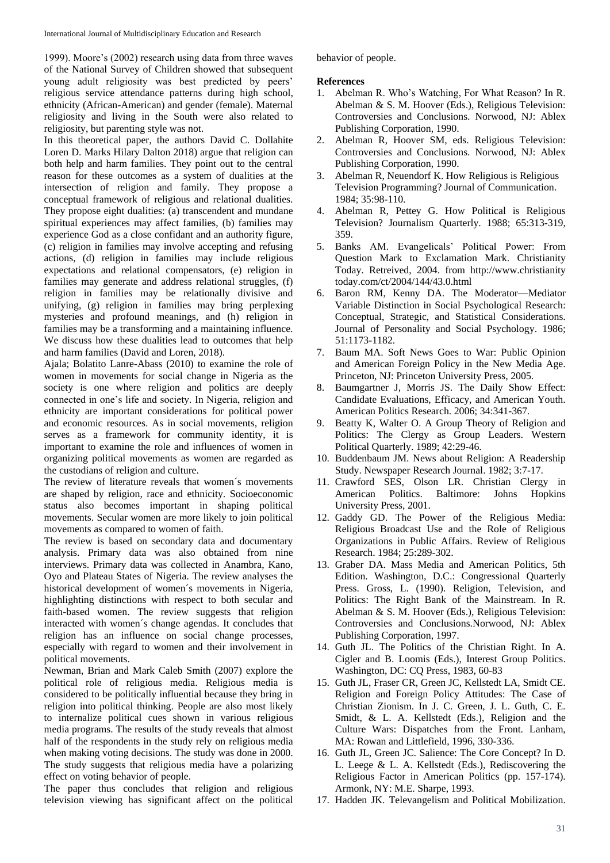1999). Moore's (2002) research using data from three waves of the National Survey of Children showed that subsequent young adult religiosity was best predicted by peers' religious service attendance patterns during high school, ethnicity (African-American) and gender (female). Maternal religiosity and living in the South were also related to religiosity, but parenting style was not.

In this theoretical paper, the authors David C. Dollahite Loren D. Marks Hilary Dalton 2018) argue that religion can both help and harm families. They point out to the central reason for these outcomes as a system of dualities at the intersection of religion and family. They propose a conceptual framework of religious and relational dualities. They propose eight dualities: (a) transcendent and mundane spiritual experiences may affect families, (b) families may experience God as a close confidant and an authority figure, (c) religion in families may involve accepting and refusing actions, (d) religion in families may include religious expectations and relational compensators, (e) religion in families may generate and address relational struggles, (f) religion in families may be relationally divisive and unifying, (g) religion in families may bring perplexing mysteries and profound meanings, and (h) religion in families may be a transforming and a maintaining influence. We discuss how these dualities lead to outcomes that help and harm families (David and Loren, 2018).

Ajala; Bolatito Lanre-Abass (2010) to examine the role of women in movements for social change in Nigeria as the society is one where religion and politics are deeply connected in one's life and society. In Nigeria, religion and ethnicity are important considerations for political power and economic resources. As in social movements, religion serves as a framework for community identity, it is important to examine the role and influences of women in organizing political movements as women are regarded as the custodians of religion and culture.

The review of literature reveals that women´s movements are shaped by religion, race and ethnicity. Socioeconomic status also becomes important in shaping political movements. Secular women are more likely to join political movements as compared to women of faith.

The review is based on secondary data and documentary analysis. Primary data was also obtained from nine interviews. Primary data was collected in Anambra, Kano, Oyo and Plateau States of Nigeria. The review analyses the historical development of women´s movements in Nigeria, highlighting distinctions with respect to both secular and faith-based women. The review suggests that religion interacted with women´s change agendas. It concludes that religion has an influence on social change processes, especially with regard to women and their involvement in political movements.

Newman, Brian and Mark Caleb Smith (2007) explore the political role of religious media. Religious media is considered to be politically influential because they bring in religion into political thinking. People are also most likely to internalize political cues shown in various religious media programs. The results of the study reveals that almost half of the respondents in the study rely on religious media when making voting decisions. The study was done in 2000. The study suggests that religious media have a polarizing effect on voting behavior of people.

The paper thus concludes that religion and religious television viewing has significant affect on the political behavior of people.

## **References**

- 1. Abelman R. Who's Watching, For What Reason? In R. Abelman & S. M. Hoover (Eds.), Religious Television: Controversies and Conclusions. Norwood, NJ: Ablex Publishing Corporation, 1990.
- 2. Abelman R, Hoover SM, eds. Religious Television: Controversies and Conclusions. Norwood, NJ: Ablex Publishing Corporation, 1990.
- 3. Abelman R, Neuendorf K. How Religious is Religious Television Programming? Journal of Communication. 1984; 35:98-110.
- 4. Abelman R, Pettey G. How Political is Religious Television? Journalism Quarterly. 1988; 65:313-319, 359.
- 5. Banks AM. Evangelicals' Political Power: From Question Mark to Exclamation Mark. Christianity Today. Retreived, 2004. from http://www.christianity today.com/ct/2004/144/43.0.html
- 6. Baron RM, Kenny DA. The Moderator—Mediator Variable Distinction in Social Psychological Research: Conceptual, Strategic, and Statistical Considerations. Journal of Personality and Social Psychology. 1986; 51:1173-1182.
- 7. Baum MA. Soft News Goes to War: Public Opinion and American Foreign Policy in the New Media Age. Princeton, NJ: Princeton University Press, 2005.
- 8. Baumgartner J, Morris JS. The Daily Show Effect: Candidate Evaluations, Efficacy, and American Youth. American Politics Research. 2006; 34:341-367.
- 9. Beatty K, Walter O. A Group Theory of Religion and Politics: The Clergy as Group Leaders. Western Political Quarterly. 1989; 42:29-46.
- 10. Buddenbaum JM. News about Religion: A Readership Study. Newspaper Research Journal. 1982; 3:7-17.
- 11. Crawford SES, Olson LR. Christian Clergy in American Politics. Baltimore: Johns Hopkins University Press, 2001.
- 12. Gaddy GD. The Power of the Religious Media: Religious Broadcast Use and the Role of Religious Organizations in Public Affairs. Review of Religious Research. 1984; 25:289-302.
- 13. Graber DA. Mass Media and American Politics, 5th Edition. Washington, D.C.: Congressional Quarterly Press. Gross, L. (1990). Religion, Television, and Politics: The Right Bank of the Mainstream. In R. Abelman & S. M. Hoover (Eds.), Religious Television: Controversies and Conclusions.Norwood, NJ: Ablex Publishing Corporation, 1997.
- 14. Guth JL. The Politics of the Christian Right. In A. Cigler and B. Loomis (Eds.), Interest Group Politics. Washington, DC: CQ Press, 1983, 60-83
- 15. Guth JL, Fraser CR, Green JC, Kellstedt LA, Smidt CE. Religion and Foreign Policy Attitudes: The Case of Christian Zionism. In J. C. Green, J. L. Guth, C. E. Smidt, & L. A. Kellstedt (Eds.), Religion and the Culture Wars: Dispatches from the Front. Lanham, MA: Rowan and Littlefield, 1996, 330-336.
- 16. Guth JL, Green JC. Salience: The Core Concept? In D. L. Leege & L. A. Kellstedt (Eds.), Rediscovering the Religious Factor in American Politics (pp. 157-174). Armonk, NY: M.E. Sharpe, 1993.
- 17. Hadden JK. Televangelism and Political Mobilization.